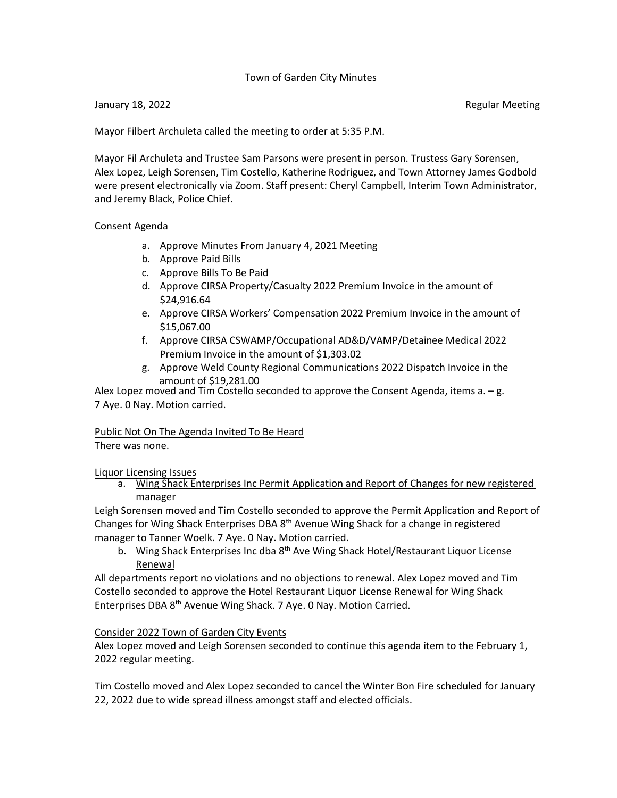## Town of Garden City Minutes

#### January 18, 2022 Regular Meeting

Mayor Filbert Archuleta called the meeting to order at 5:35 P.M.

Mayor Fil Archuleta and Trustee Sam Parsons were present in person. Trustess Gary Sorensen, Alex Lopez, Leigh Sorensen, Tim Costello, Katherine Rodriguez, and Town Attorney James Godbold were present electronically via Zoom. Staff present: Cheryl Campbell, Interim Town Administrator, and Jeremy Black, Police Chief.

#### Consent Agenda

- a. Approve Minutes From January 4, 2021 Meeting
- b. Approve Paid Bills
- c. Approve Bills To Be Paid
- d. Approve CIRSA Property/Casualty 2022 Premium Invoice in the amount of \$24,916.64
- e. Approve CIRSA Workers' Compensation 2022 Premium Invoice in the amount of \$15,067.00
- f. Approve CIRSA CSWAMP/Occupational AD&D/VAMP/Detainee Medical 2022 Premium Invoice in the amount of \$1,303.02
- g. Approve Weld County Regional Communications 2022 Dispatch Invoice in the amount of \$19,281.00

Alex Lopez moved and Tim Costello seconded to approve the Consent Agenda, items  $a - g$ . 7 Aye. 0 Nay. Motion carried.

## Public Not On The Agenda Invited To Be Heard

There was none.

Liquor Licensing Issues

a. Wing Shack Enterprises Inc Permit Application and Report of Changes for new registered manager

Leigh Sorensen moved and Tim Costello seconded to approve the Permit Application and Report of Changes for Wing Shack Enterprises DBA 8th Avenue Wing Shack for a change in registered manager to Tanner Woelk. 7 Aye. 0 Nay. Motion carried.

b. Wing Shack Enterprises Inc dba 8<sup>th</sup> Ave Wing Shack Hotel/Restaurant Liquor License Renewal

All departments report no violations and no objections to renewal. Alex Lopez moved and Tim Costello seconded to approve the Hotel Restaurant Liquor License Renewal for Wing Shack Enterprises DBA 8th Avenue Wing Shack. 7 Aye. 0 Nay. Motion Carried.

## Consider 2022 Town of Garden City Events

Alex Lopez moved and Leigh Sorensen seconded to continue this agenda item to the February 1, 2022 regular meeting.

Tim Costello moved and Alex Lopez seconded to cancel the Winter Bon Fire scheduled for January 22, 2022 due to wide spread illness amongst staff and elected officials.